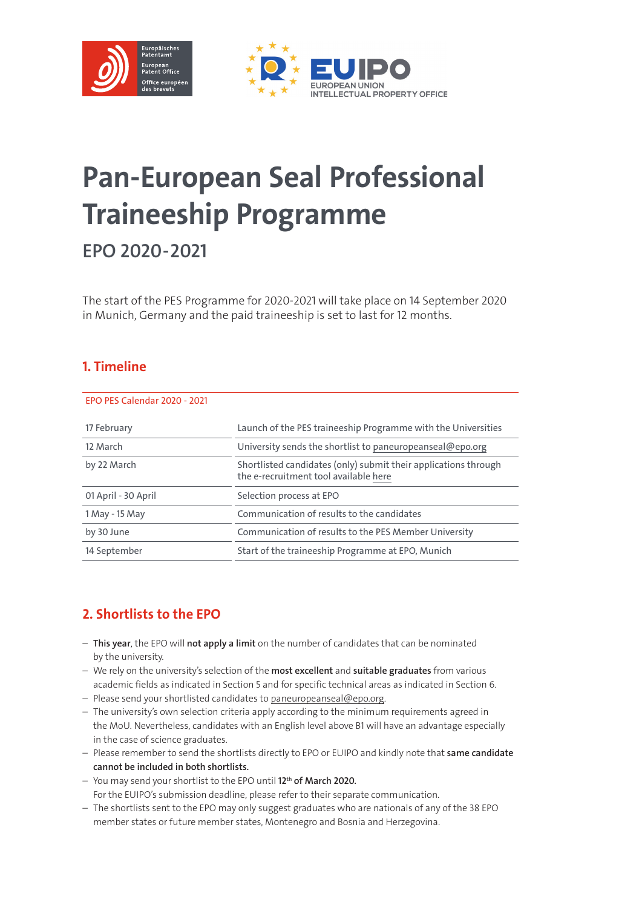

# Pan-European Seal Professional Traineeship Programme

EPO 2020-2021

The start of the PES Programme for 2020-2021 will take place on 14 September 2020 in Munich, Germany and the paid traineeship is set to last for 12 months.

#### 1. Timeline

## 17 February Launch of the PES traineeship Programme with the Universities 12 March University sends the shortlist to [paneuropeanseal@epo.org](mailto:paneuropeanseal%40epo.org?subject=) by 22 March Shortlisted candidates (only) submit their applications through the e-recruitment tool available [here](https://jobs.epo.org/content/PanEuropeanSeal/?locale=en_GB) 01 April - 30 April Selection process at EPO 1 May - 15 May Communication of results to the candidates by 30 June Communication of results to the PES Member University 14 September Start of the traineeship Programme at EPO, Munich EPO PES Calendar 2020 - 2021

# 2. Shortlists to the EPO

- This year, the EPO will not apply a limit on the number of candidates that can be nominated by the university.
- We rely on the university's selection of the most excellent and suitable graduates from various academic fields as indicated in Section 5 and for specific technical areas as indicated in Section 6.
- Please send your shortlisted candidates to [paneuropeanseal@epo.org](mailto:paneuropeanseal%40epo.org?subject=).
- The university's own selection criteria apply according to the minimum requirements agreed in the MoU. Nevertheless, candidates with an English level above B1 will have an advantage especially in the case of science graduates.
- Please remember to send the shortlists directly to EPO or EUIPO and kindly note that same candidate cannot be included in both shortlists.
- You may send your shortlist to the EPO until 12th of March 2020. For the EUIPO's submission deadline, please refer to their separate communication.
- The shortlists sent to the EPO may only suggest graduates who are nationals of any of the 38 EPO member states or future member states, Montenegro and Bosnia and Herzegovina.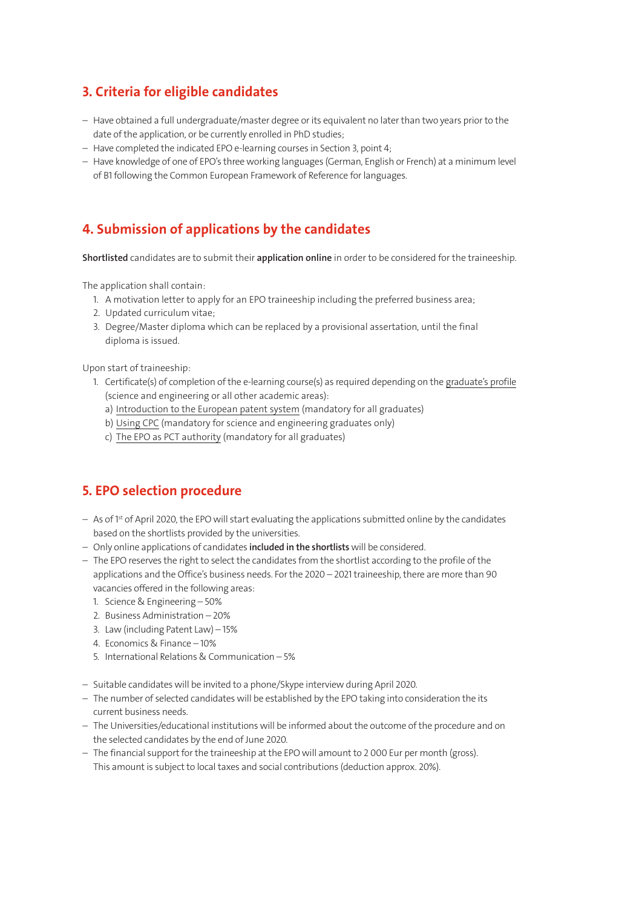#### 3. Criteria for eligible candidates

- Have obtained a full undergraduate/master degree or its equivalent no later than two years prior to the date of the application, or be currently enrolled in PhD studies;
- Have completed the indicated EPO e-learning courses in Section 3, point 4;
- Have knowledge of one of EPO's three working languages (German, English or French) at a minimum level of B1 following the Common European Framework of Reference for languages.

## 4. Submission of applications by the candidates

Shortlisted candidates are to submit their application online in order to be considered for the traineeship.

The application shall contain:

- 1. A motivation letter to apply for an EPO traineeship including the preferred business area;
- 2. Updated curriculum vitae;
- 3. Degree/Master diploma which can be replaced by a provisional assertation, until the final diploma is issued.

Upon start of traineeship:

- 1. Certificate(s) of completion of the e-learning course(s) as required depending on the [graduate's profile](https://jobs.epo.org/content/PanEuropeanSeal/?locale=en_GB) (science and engineering or all other academic areas):
	- a) [Introduction to the European patent system](https://e-courses.epo.org/enrol/index.php?id=70) (mandatory for all graduates)
	- b) [Using CPC](https://e-courses.epo.org/enrol/index.php?id=90) (mandatory for science and engineering graduates only)
	- c) [The EPO as PCT authority](https://e-courses.epo.org/enrol/index.php?id=71) (mandatory for all graduates)

## 5. EPO selection procedure

- As of 1st of April 2020, the EPO will start evaluating the applications submitted online by the candidates based on the shortlists provided by the universities.
- Only online applications of candidates included in the shortlists will be considered.
- The EPO reserves the right to select the candidates from the shortlist according to the profile of the applications and the Office's business needs. For the 2020 – 2021 traineeship, there are more than 90 vacancies offered in the following areas:
	- 1. Science & Engineering 50%
	- 2. Business Administration 20%
	- 3. Law (including Patent Law) 15%
	- 4. Economics & Finance 10%
	- 5. International Relations & Communication 5%
- Suitable candidates will be invited to a phone/Skype interview during April 2020.
- The number of selected candidates will be established by the EPO taking into consideration the its current business needs.
- The Universities/educational institutions will be informed about the outcome of the procedure and on the selected candidates by the end of June 2020.
- The financial support for the traineeship at the EPO will amount to 2 000 Eur per month (gross). This amount is subject to local taxes and social contributions (deduction approx. 20%).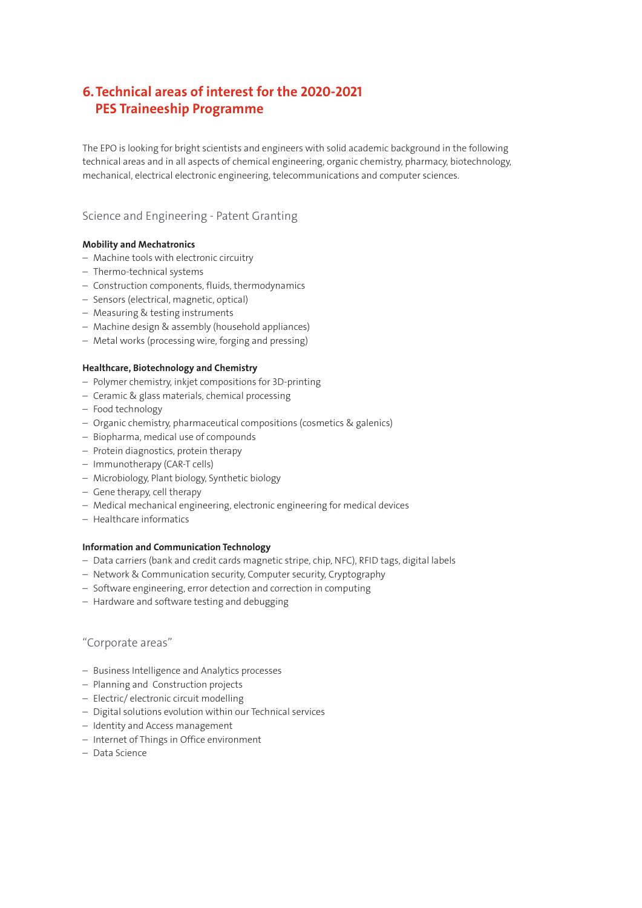## 6. Technical areas of interest for the 2020-2021 PES Traineeship Programme

The EPO is looking for bright scientists and engineers with solid academic background in the following technical areas and in all aspects of chemical engineering, organic chemistry, pharmacy, biotechnology, mechanical, electrical electronic engineering, telecommunications and computer sciences.

#### Science and Engineering - Patent Granting

#### Mobility and Mechatronics

- Machine tools with electronic circuitry
- Thermo-technical systems
- Construction components, fluids, thermodynamics
- Sensors (electrical, magnetic, optical)
- Measuring & testing instruments
- Machine design & assembly (household appliances)
- Metal works (processing wire, forging and pressing)

#### Healthcare, Biotechnology and Chemistry

- Polymer chemistry, inkjet compositions for 3D-printing
- Ceramic & glass materials, chemical processing
- Food technology
- Organic chemistry, pharmaceutical compositions (cosmetics & galenics)
- Biopharma, medical use of compounds
- Protein diagnostics, protein therapy
- Immunotherapy (CAR-T cells)
- Microbiology, Plant biology, Synthetic biology
- Gene therapy, cell therapy
- Medical mechanical engineering, electronic engineering for medical devices
- Healthcare informatics

#### Information and Communication Technology

- Data carriers (bank and credit cards magnetic stripe, chip, NFC), RFID tags, digital labels
- Network & Communication security, Computer security, Cryptography
- Software engineering, error detection and correction in computing
- Hardware and software testing and debugging

#### "Corporate areas"

- Business Intelligence and Analytics processes
- Planning and Construction projects
- Electric/ electronic circuit modelling
- Digital solutions evolution within our Technical services
- Identity and Access management
- Internet of Things in Office environment
- Data Science